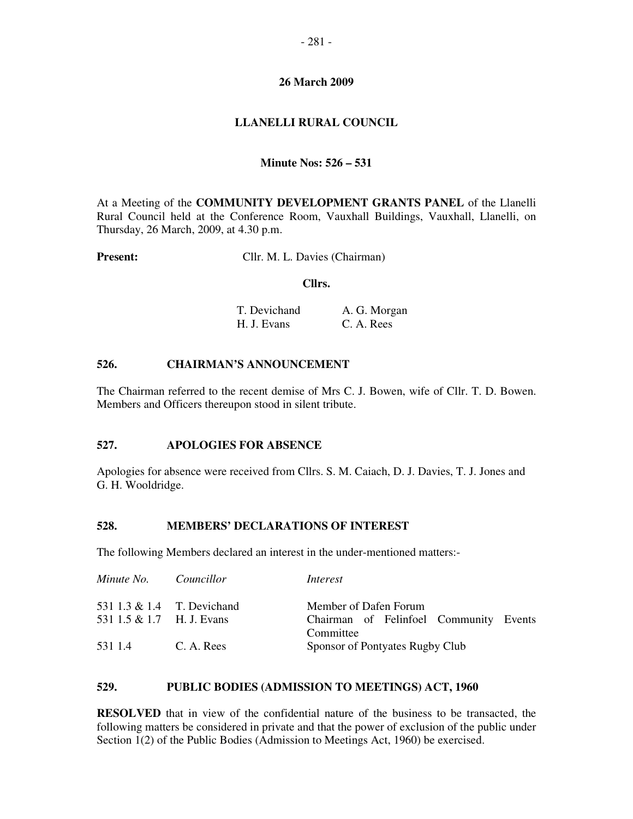### **26 March 2009**

## **LLANELLI RURAL COUNCIL**

### **Minute Nos: 526 – 531**

At a Meeting of the **COMMUNITY DEVELOPMENT GRANTS PANEL** of the Llanelli Rural Council held at the Conference Room, Vauxhall Buildings, Vauxhall, Llanelli, on Thursday, 26 March, 2009, at 4.30 p.m.

**Present:** Cllr. M. L. Davies (Chairman)

#### **Cllrs.**

| T. Devichand | A. G. Morgan |
|--------------|--------------|
| H. J. Evans  | C. A. Rees   |

### **526. CHAIRMAN'S ANNOUNCEMENT**

The Chairman referred to the recent demise of Mrs C. J. Bowen, wife of Cllr. T. D. Bowen. Members and Officers thereupon stood in silent tribute.

#### **527. APOLOGIES FOR ABSENCE**

Apologies for absence were received from Cllrs. S. M. Caiach, D. J. Davies, T. J. Jones and G. H. Wooldridge.

#### **528. MEMBERS' DECLARATIONS OF INTEREST**

The following Members declared an interest in the under-mentioned matters:-

| Minute No. Councillor                                   |            | Interest                                                                     |  |
|---------------------------------------------------------|------------|------------------------------------------------------------------------------|--|
| 531 1.3 & 1.4 T. Devichand<br>531 1.5 & 1.7 H. J. Evans |            | Member of Dafen Forum<br>Chairman of Felinfoel Community Events<br>Committee |  |
| 531 1.4                                                 | C. A. Rees | Sponsor of Pontyates Rugby Club                                              |  |

### **529. PUBLIC BODIES (ADMISSION TO MEETINGS) ACT, 1960**

**RESOLVED** that in view of the confidential nature of the business to be transacted, the following matters be considered in private and that the power of exclusion of the public under Section 1(2) of the Public Bodies (Admission to Meetings Act, 1960) be exercised.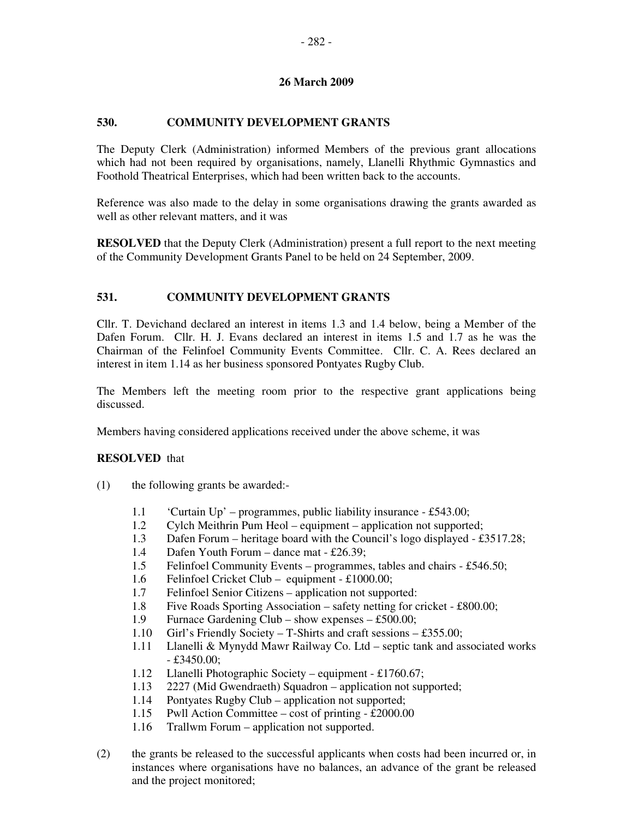## **26 March 2009**

# **530. COMMUNITY DEVELOPMENT GRANTS**

The Deputy Clerk (Administration) informed Members of the previous grant allocations which had not been required by organisations, namely, Llanelli Rhythmic Gymnastics and Foothold Theatrical Enterprises, which had been written back to the accounts.

Reference was also made to the delay in some organisations drawing the grants awarded as well as other relevant matters, and it was

**RESOLVED** that the Deputy Clerk (Administration) present a full report to the next meeting of the Community Development Grants Panel to be held on 24 September, 2009.

# **531. COMMUNITY DEVELOPMENT GRANTS**

Cllr. T. Devichand declared an interest in items 1.3 and 1.4 below, being a Member of the Dafen Forum. Cllr. H. J. Evans declared an interest in items 1.5 and 1.7 as he was the Chairman of the Felinfoel Community Events Committee. Cllr. C. A. Rees declared an interest in item 1.14 as her business sponsored Pontyates Rugby Club.

The Members left the meeting room prior to the respective grant applications being discussed.

Members having considered applications received under the above scheme, it was

### **RESOLVED** that

- (1) the following grants be awarded:-
	- 1.1 'Curtain Up' programmes, public liability insurance £543.00;
	- 1.2 Cylch Meithrin Pum Heol equipment application not supported;
	- 1.3 Dafen Forum heritage board with the Council's logo displayed £3517.28;
	- 1.4 Dafen Youth Forum dance mat £26.39;
	- 1.5 Felinfoel Community Events programmes, tables and chairs £546.50;
	- 1.6 Felinfoel Cricket Club equipment £1000.00;
	- 1.7 Felinfoel Senior Citizens application not supported:
	- 1.8 Five Roads Sporting Association safety netting for cricket £800.00;
	- 1.9 Furnace Gardening Club show expenses £500.00;
	- 1.10 Girl's Friendly Society T-Shirts and craft sessions £355.00;
	- 1.11 Llanelli & Mynydd Mawr Railway Co. Ltd septic tank and associated works - £3450.00;
	- 1.12 Llanelli Photographic Society equipment £1760.67;
	- 1.13 2227 (Mid Gwendraeth) Squadron application not supported;
	- 1.14 Pontyates Rugby Club application not supported;
	- 1.15 Pwll Action Committee cost of printing £2000.00
	- 1.16 Trallwm Forum application not supported.
- (2) the grants be released to the successful applicants when costs had been incurred or, in instances where organisations have no balances, an advance of the grant be released and the project monitored;